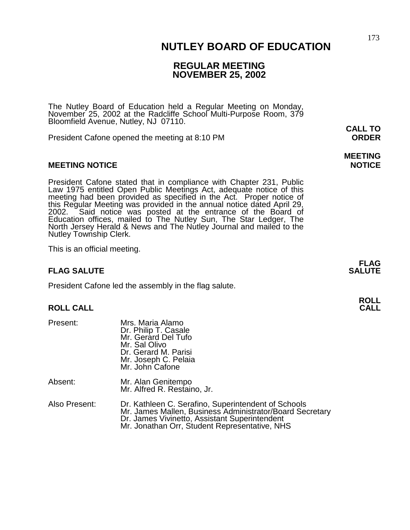### 173  **NUTLEY BOARD OF EDUCATION**

## **REGULAR MEETING NOVEMBER 25, 2002**

**MEETING** 

The Nutley Board of Education held a Regular Meeting on Monday, November 25, 2002 at the Radcliffe School Multi-Purpose Room, 379 Bloomfield Avenue, Nutley, NJ 07110.

President Cafone opened the meeting at 8:10 PM **ORDER**

#### **MEETING NOTICE NOTICE AND INCOMEDIATE**

President Cafone stated that in compliance with Chapter 231, Public Law 1975 entitled Open Public Meetings Act, adequate notice of this meeting had been provided as specified in the Act. Proper notice of this Regular Meeting was provided in the annual notice dated April 29, 2002. Said notice was posted at the entrance of the Board of Education offices, mailed to The Nutley Sun, The Star Ledger, The North Jersey Herald & News and The Nutley Journal and mailed to the Nutley Township Clerk.

This is an official meeting.

### **FLAG SALUTE** SALUTE SALUTE SALUTE SALUTE SALUTE SALUTE SALUTE SALUTE SALUTE SALUTE SALUTE SALUTE SALUTE SALUTE SALUTE SALUTE SALUTE SALUTE SALUTE SALUTE SALUTE SALUTE SALUTE SALUTE SALUTE SALUTE SALUTE SALUTE SALUTE SALUT

President Cafone led the assembly in the flag salute.

#### **ROLL CALL**

| Present:      | Mrs. Maria Alamo<br>Dr. Philip T. Casale<br>Mr. Gerard Del Tufo<br>Mr. Sal Olivo<br>Dr. Gerard M. Parisi<br>Mr. Joseph C. Pelaia<br>Mr. John Cafone              |
|---------------|------------------------------------------------------------------------------------------------------------------------------------------------------------------|
| Absent:       | Mr. Alan Genitempo<br>Mr. Alfred R. Restaino, Jr.                                                                                                                |
| Also Present: | Dr. Kathleen C. Serafino, Superintendent of Schools<br>Mr. James Mallen, Business Administrator/Board Secretary<br>Dr. James Vivinetto, Assistant Superintendent |

Dr. James Vivinetto, Assistant Superintendent<br>Mr. Jonathan Orr, Student Representative, NHS

**FLAG** 

**ROLL** 

**CALL TO**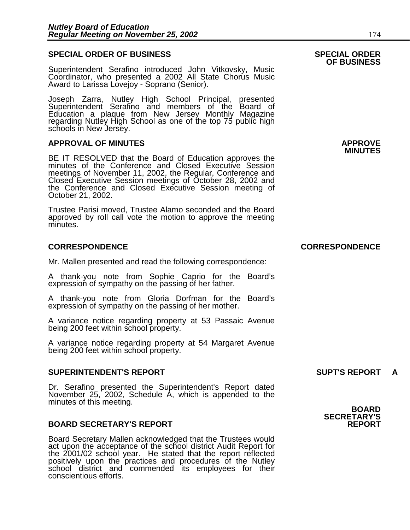#### **SPECIAL ORDER OF BUSINESS SPECIAL ORDER**

Superintendent Serafino introduced John Vitkovsky, Music Coordinator, who presented a 2002 All State Chorus Music Award to Larissa Lovejoy - Soprano (Senior).

Joseph Zarra, Nutley High School Principal, presented Superintendent Serafino and members of the Board of Education a plaque from New Jersey Monthly Magazine regarding Nutley High School as one of the top 75 public high schools in New Jersey.

## **APPROVAL OF MINUTES APPROVE**

**BE IT RESOLVED that the Board of Education approves the** minutes of the Conference and Closed Executive Session meetings of November 11, 2002, the Regular, Conference and Closed Executive Session meetings of October 28, 2002 and the Conference and Closed Executive Session meeting of October 21, 2002.

Trustee Parisi moved, Trustee Alamo seconded and the Board approved by roll call vote the motion to approve the meeting minutes.

#### **CORRESPONDENCE CORRESPONDENCE**

Mr. Mallen presented and read the following correspondence:

A thank-you note from Sophie Caprio for the Board's expression of sympathy on the passing of her father.

A thank-you note from Gloria Dorfman for the Board's expression of sympathy on the passing of her mother.

A variance notice regarding property at 53 Passaic Avenue being 200 feet within school property.

A variance notice regarding property at 54 Margaret Avenue being 200 feet within school property.

#### **SUPERINTENDENT'S REPORT SUPT'S REPORT A**

Dr. Serafino presented the Superintendent's Report dated November 25, 2002, Schedule A, which is appended to the minutes of this meeting. **BOARD BOARD** 

#### **BOARD SECRETARY'S REPORT**

Board Secretary Mallen acknowledged that the Trustees would act upon the acceptance of the school district Audit Report for the 2001/02 school year. He stated that the report reflected positively upon the practices and procedures of the Nutley school district and commended its employees for their conscientious efforts.

# **OF BUSINESS**

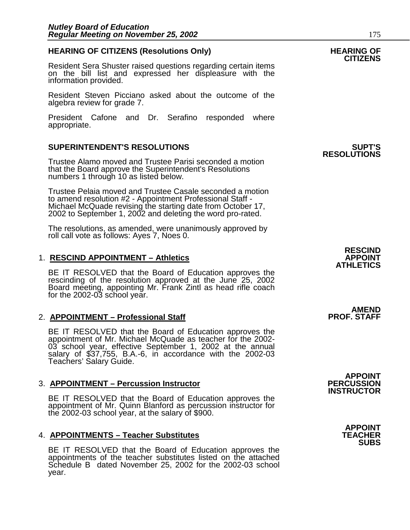## **HEARING OF CITIZENS (Resolutions Only) HEARING OF CITIZENS**

Resident Sera Shuster raised questions regarding certain items on the bill list and expressed her displeasure with the information provided.

Resident Steven Picciano asked about the outcome of the algebra review for grade 7.

President Cafone and Dr. Serafino responded where appropriate.

### **SUPERINTENDENT'S RESOLUTIONS SUPT'S**

Trustee Alamo moved and Trustee Parisi seconded a motion that the Board approve the Superintendent's Resolutions numbers 1 through 10 as listed below.

Trustee Pelaia moved and Trustee Casale seconded a motion to amend resolution #2 - Appointment Professional Staff - Michael McQuade revising the starting date from October 17, 2002 to September 1, 2002 and deleting the word pro-rated.

The resolutions, as amended, were unanimously approved by roll call vote as follows: Ayes 7, Noes 0.

#### 1. RESCIND APPOINTMENT - Athletics

BE IT RESOLVED that the Board of Education approves the rescinding of the resolution approved at the June 25, 2002 Board meeting, appointing Mr. Frank Zintl as head rifle coach for the 2002-03 school year.

#### 2. **APPOINTMENT – Professional Staff**

BE IT RESOLVED that the Board of Education approves the appointment of Mr. Michael McQuade as teacher for the 2002- 03 school year, effective September 1, 2002 at the annual salary of \$37,755, B.A.-6, in accordance with the 2002-03 Teachers' Salary Guide.

#### **3. APPOINTMENT – Percussion Instructor**

BE IT RESOLVED that the Board of Education approves the appointment of Mr. Quinn Blanford as percussion instructor for the 2002-03 school year, at the salary of \$900.

#### **4. APPOINTMENTS – Teacher Substitutes**

BE IT RESOLVED that the Board of Education approves the appointments of the teacher substitutes listed on the attached Schedule B dated November 25, 2002 for the 2002-03 school year.

**RESOLUTIONS** 

AMEND<br>PROF. STAFF

**APPOINT INSTRUCTOR** 

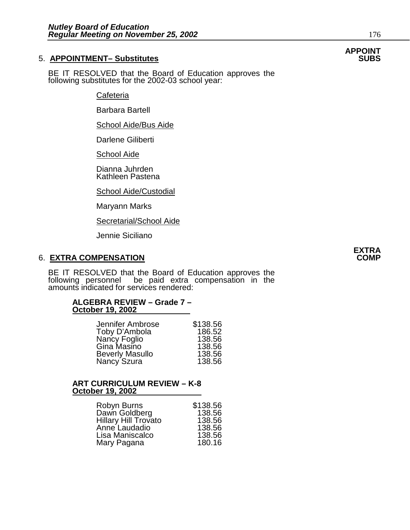### **5. APPOINTMENT- Substitutes**

BE IT RESOLVED that the Board of Education approves the following substitutes for the 2002-03 school year:

**Cafeteria** 

Barbara Bartell

School Aide/Bus Aide

Darlene Giliberti

School Aide

Dianna Juhrden Kathleen Pastena

School Aide/Custodial

Maryann Marks

Secretarial/School Aide

Jennie Siciliano

### 6. **EXTRA COMPENSATION**

BE IT RESOLVED that the Board of Education approves the following personnel be paid extra compensation in the amounts indicated for services rendered:

#### **ALGEBRA REVIEW – Grade 7 – October 19, 2002**

| Jennifer Ambrose            | \$138.56 |
|-----------------------------|----------|
| Toby D'Ambola               | 186.52   |
| Nancy Foglio<br>Gina Masino | 138.56   |
|                             | 138.56   |
| <b>Beverly Masullo</b>      | 138.56   |
| Nancy Szura                 | 138.56   |

## **ART CURRICULUM REVIEW – K-8 October 19, 2002**

| Robyn Burns                 | \$138.56 |
|-----------------------------|----------|
| Dawn Goldberg               | 138.56   |
| <b>Hillary Hill Trovato</b> | 138.56   |
| Anne Laudadio               | 138.56   |
| Lisa Maniscalco             | 138.56   |
| Mary Pagana                 | 180.16   |

# **APPOINT**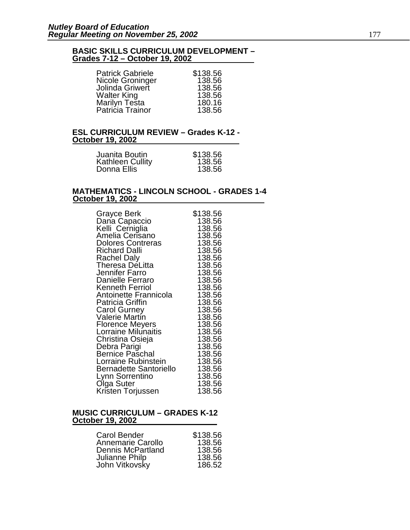#### **BASIC SKILLS CURRICULUM DEVELOPMENT – Grades 7-12 – October 19, 2002**

| <b>Patrick Gabriele</b> | \$138.56 |
|-------------------------|----------|
| Nicole Groninger        | 138.56   |
| Jolinda Griwert         | 138.56   |
| <b>Walter King</b>      | 138.56   |
| Marilyn Testa           | 180.16   |
| Patricia Trainor        | 138.56   |

#### **ESL CURRICULUM REVIEW – Grades K-12 - October 19, 2002**

| Juanita Boutin          | \$138.56 |
|-------------------------|----------|
| <b>Kathleen Cullity</b> | 138.56   |
| Donna Ellis             | 138.56   |

#### **MATHEMATICS - LINCOLN SCHOOL - GRADES 1-4 October 19, 2002**

| Grayce Berk                                         | \$138.56         |
|-----------------------------------------------------|------------------|
| Dana Capaccio<br>Kelli Cerniglia<br>Amelia Cerisano | 138.56<br>138.56 |
|                                                     | 138.56           |
| <b>Dolores Contreras</b>                            | 138.56           |
| <b>Richard Dalli</b>                                | 138.56           |
| Rachel Daly                                         | 138.56           |
| Theresa DeLitta                                     | 138.56           |
| Jennifer Farro<br>Danielle Ferraro                  | 138.56<br>138.56 |
| <b>Kenneth Ferriol</b>                              | 138.56           |
| Antoinette Frannicola                               | 138.56           |
| <b>Patricia Griffin</b>                             | 138.56           |
| <b>Carol Gurney</b>                                 | 138.56           |
| Valerie Martín                                      | 138.56           |
| <b>Florence Meyers</b><br>Lorraine Milunaitis       | 138.56<br>138.56 |
| Christina Osieja                                    | 138.56           |
| Debra Parigi                                        | 138.56           |
| <b>Bernice Paschal</b>                              | 138.56           |
| Lorraine Rubinstein                                 | 138.56           |
| Bernadette Santoriello                              | 138.56           |
| Lynn Sorrentino                                     | 138.56           |
| Olga Suter                                          | 138.56           |
| Kristen Torjussen                                   | 138.56           |

#### **MUSIC CURRICULUM – GRADES K-12 October 19, 2002**

| Carol Bender      | \$138.56 |
|-------------------|----------|
| Annemarie Carollo | 138.56   |
| Dennis McPartland | 138.56   |
| Julianne Philp    | 138.56   |
| John Vitkovsky    | 186.52   |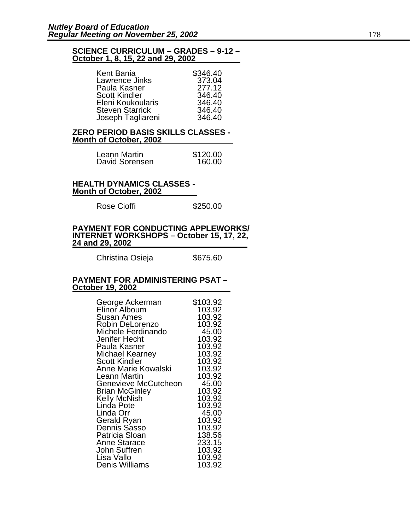#### **SCIENCE CURRICULUM – GRADES – 9-12 – October 1, 8, 15, 22 and 29, 2002**

| Kent Bania             | \$346.40 |
|------------------------|----------|
| Lawrence Jinks         | 373.04   |
| Paula Kasner           | 277.12   |
| <b>Scott Kindler</b>   | 346.40   |
| Eleni Koukoularis      | 346.40   |
| <b>Steven Starrick</b> | 346.40   |
| Joseph Tagliareni      | 346.40   |

#### **ZERO PERIOD BASIS SKILLS CLASSES - Month of October, 2002**

| Leann Martin   | \$120.00 |
|----------------|----------|
| David Sorensen | 160.00   |

#### **HEALTH DYNAMICS CLASSES - Month of October, 2002**

Rose Cioffi **\$250.00** 

#### **PAYMENT FOR CONDUCTING APPLEWORKS/ INTERNET WORKSHOPS – October 15, 17, 22, 24 and 29, 2002**

Christina Osieja  $$675.60$ 

#### **PAYMENT FOR ADMINISTERING PSAT – October 19, 2002**

| George Ackerman<br>Elinor Alboum  | \$103.92<br>103.92 |
|-----------------------------------|--------------------|
| Susan Ames<br>Robin DeLorenzo     | 103.92<br>103.92   |
| Michele Ferdinando                | 45.00              |
| Jenifer Hecht                     | 103.92             |
| Paula Kasner                      | 103.92             |
| Michael Kearney                   | 103.92             |
| <b>Scott Kindler</b>              | 103.92             |
| Anne Marie Kowalski               | 103.92             |
| Leann Martin                      | 103.92             |
| Genevieve McCutcheon              | 45.00              |
| <b>Brian McGinley</b>             | 103.92<br>103.92   |
| <b>Kelly McNish</b><br>Linda Pote | 103.92             |
| Linda Orr                         | 45.00              |
| Gerald Ryan                       | 103.92             |
| Dennis Sasso                      | 103.92             |
| Patricia Sloan                    | 138.56             |
| <b>Anne Starace</b>               | 233.15             |
| John Suffren                      | 103.92             |
| Lisa Vallo                        | 103.92             |
| Denis Williams                    | 103.92             |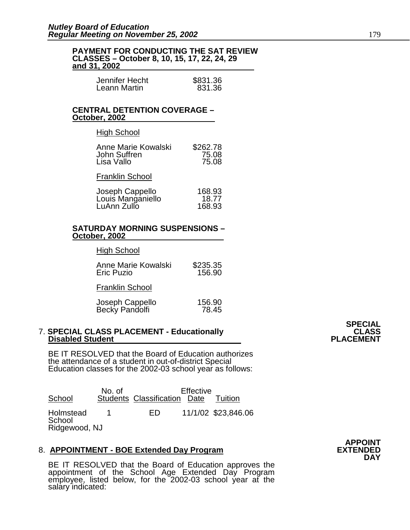#### **PAYMENT FOR CONDUCTING THE SAT REVIEW CLASSES – October 8, 10, 15, 17, 22, 24, 29 and 31, 2002**

| Jennifer Hecht | \$831.36 |
|----------------|----------|
| Leann Martin   | 831.36   |

### **CENTRAL DETENTION COVERAGE – October, 2002**

#### **High School**

| Anne Marie Kowalski | \$262.78 |
|---------------------|----------|
| John Suffren        | 75.08    |
| Lisa Vallo          | 75.08    |

### Franklin School

| Joseph Cappello   | 168.93 |
|-------------------|--------|
| Louis Manganiello | 18.77  |
| LuAnn Zullo       | 168.93 |

#### **SATURDAY MORNING SUSPENSIONS – October, 2002**

#### High School

| Anne Marie Kowalski | \$235.35 |
|---------------------|----------|
| <b>Eric Puzio</b>   | 156.90   |

Franklin School

| Joseph Cappello | 156.90 |
|-----------------|--------|
| Becky Pandolfi  | 78.45  |

#### 7. **SPECIAL CLASS PLACEMENT - Educationally CLASS Disabled Student Contract Contract Contract Contract Contract PLACEMENT**

BE IT RESOLVED that the Board of Education authorizes the attendance of a student in out-of-district Special Education classes for the 2002-03 school year as follows:

| School                               | No. of | Students Classification Date | Effective | Tuition             |
|--------------------------------------|--------|------------------------------|-----------|---------------------|
| Holmstead<br>School<br>Ridgewood, NJ |        | FD.                          |           | 11/1/02 \$23,846.06 |

### 8. **APPOINTMENT - BOE Extended Day Program**

BE IT RESOLVED that the Board of Education approves the appointment of the School Age Extended Day Program employee, listed below, for the 2002-03 school year at the salary indicated:

**APPOINT DAY**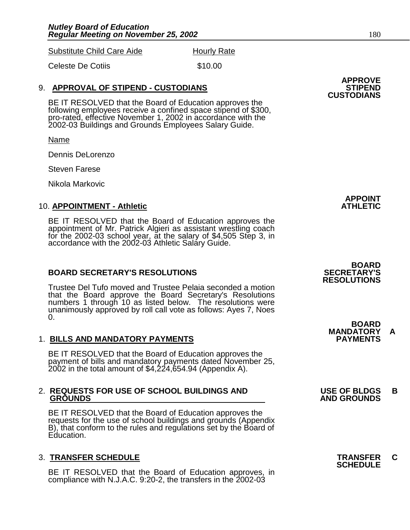Substitute Child Care Aide Hourly Rate

Celeste De Cotiis  $$10.00$ 

## 9. **APPROVAL OF STIPEND - CUSTODIANS**

BE IT RESOLVED that the Board of Education approves the following employees receive a confined space stipend of \$300, pro-rated, effective November 1, 2002 in accordance with the 2002-03 Buildings and Grounds Employees Salary Guide.

Name

Dennis DeLorenzo

Steven Farese

Nikola Markovic

#### **10. APPOINTMENT - Athletic**

BE IT RESOLVED that the Board of Education approves the appointment of Mr. Patrick Algieri as assistant wrestling coach for the 2002-03 school year, at the salary of \$4,505 Step 3, in accordance with the 2002-03 Athletic Salary Guide.

#### **BOARD SECRETARY'S RESOLUTIONS SECRETARY'S**

Trustee Del Tufo moved and Trustee Pelaia seconded a motion that the Board approve the Board Secretary's Resolutions numbers 1 through 10 as listed below. The resolutions were unanimously approved by roll call vote as follows: Ayes 7, Noes 0.

## 1. **BILLS AND MANDATORY PAYMENTS PAYMENTS**

BE IT RESOLVED that the Board of Education approves the payment of bills and mandatory payments dated November 25, 2002 in the total amount of \$4,224,654.94 (Appendix A).

# 2. **REQUESTS FOR USE OF SCHOOL BUILDINGS AND USE OF BLDGS B**

BE IT RESOLVED that the Board of Education approves the requests for the use of school buildings and grounds (Appendix B), that conform to the rules and regulations set by the Board of Education.

## 3. **TRANSFER SCHEDULE TRANSFER C SCHEDULE**

BE IT RESOLVED that the Board of Education approves, in compliance with N.J.A.C. 9:20-2, the transfers in the 2002-03

**APPROVE CUSTODIANS** 

**APPOINT** 

 **BOARD RESOLUTIONS** 

 **BOARD MANDATORY A** 

# **GROUNDS AND GROUNDS**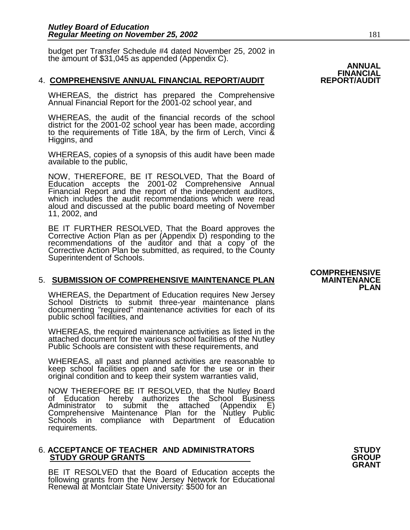budget per Transfer Schedule #4 dated November 25, 2002 in the amount of \$31,045 as appended (Appendix C). **ANNUAL ANNUAL** 

#### 4. **COMPREHENSIVE ANNUAL FINANCIAL REPORT/AUDIT REPORT/AUDIT**

WHEREAS, the district has prepared the Comprehensive Annual Financial Report for the 2001-02 school year, and

WHEREAS, the audit of the financial records of the school district for the 2001-02 school year has been made, according to the requirements of Title 18A, by the firm of Lerch, Vinci & Higgins, and

WHEREAS, copies of a synopsis of this audit have been made available to the public,

NOW, THEREFORE, BE IT RESOLVED, That the Board of Education accepts the 2001-02 Comprehensive Annual Financial Report and the report of the independent auditors, which includes the audit recommendations which were read aloud and discussed at the public board meeting of November 11, 2002, and

BE IT FURTHER RESOLVED, That the Board approves the Corrective Action Plan as per (Appendix D) responding to the recommendations of the auditor and that a copy of the Corrective Action Plan be submitted, as required, to the County Superintendent of Schools.

#### **5. SUBMISSION OF COMPREHENSIVE MAINTENANCE PLAN**

WHEREAS, the Department of Education requires New Jersey School Districts to submit three-year maintenance plans documenting "required" maintenance activities for each of its public school facilities, and

WHEREAS, the required maintenance activities as listed in the attached document for the various school facilities of the Nutley Public Schools are consistent with these requirements, and

WHEREAS, all past and planned activities are reasonable to keep school facilities open and safe for the use or in their original condition and to keep their system warranties valid,

NOW THEREFORE BE IT RESOLVED, that the Nutley Board of Education hereby authorizes the School Business<br>Administrator to submit the attached (Appendix E) Administrator to submit the attached (Appendix E)<br>Comprehensive Maintenance Plan for the Nutley Public Comprehensive Maintenance Plan for the Schools in compliance with Department of Education requirements.

#### 6. **ACCEPTANCE OF TEACHER AND ADMINISTRATORS STUDY STUDY GROUP GRANTS**

BE IT RESOLVED that the Board of Education accepts the following grants from the New Jersey Network for Educational Renewal at Montclair State University: \$500 for an

## **COMPREHENSIVE PLAN**

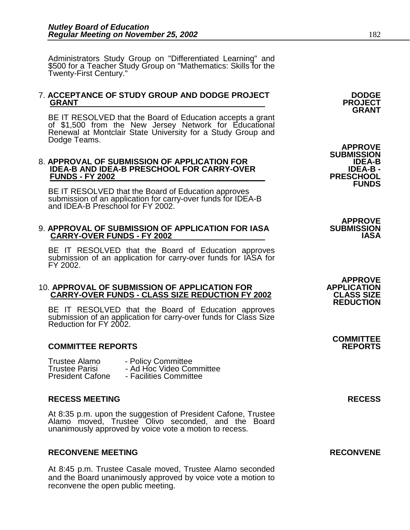Administrators Study Group on "Differentiated Learning" and \$500 for a Teacher Study Group on "Mathematics: Skills for the Twenty-First Century."

## 7. **ACCEPTANCE OF STUDY GROUP AND DODGE PROJECT DODGE GRANT PROJECT GRANT**

BE IT RESOLVED that the Board of Education accepts a grant of \$1,500 from the New Jersey Network for Educational Renewal at Montclair State University for a Study Group and<br>Dodge Teams. Dodge Teams. **APPROVE SUBMISSION** 

#### 8. **APPROVAL OF SUBMISSION OF APPLICATION FOR IDEA-B**  IDEA-B AND IDEA-B PRESCHOOL FOR CARRY-OVER **IDEA-B -** IDEA-B -<br>FUNDS - FY 2002 **FUNDS - FY 2002**

BE IT RESOLVED that the Board of Education approves submission of an application for carry-over funds for IDEA-B and IDEA-B Preschool for FY 2002.

#### 9. **APPROVAL OF SUBMISSION OF APPLICATION FOR IASA SUBMISSION CARRY-OVER FUNDS - FY 2002**

BE IT RESOLVED that the Board of Education approves submission of an application for carry-over funds for IASA for FY 2002.

#### 10. **APPROVAL OF SUBMISSION OF APPLICATION FOR APPLICATION CARRY-OVER FUNDS - CLASS SIZE REDUCTION FY 2002**

BE IT RESOLVED that the Board of Education approves submission of an application for carry-over funds for Class Size Reduction for FY 2002.

### **COMMITTEE REPORTS REPORTS**

Trustee Alamo <sup>-</sup> Policy Committee<br>Trustee Parisi - Ad Hoc Video Cor - Ad Hoc Video Committee President Cafone - Facilities Committee

#### **RECESS MEETING RECESS**

At 8:35 p.m. upon the suggestion of President Cafone, Trustee Alamo moved, Trustee Olivo seconded, and the Board unanimously approved by voice vote a motion to recess.

#### **RECONVENE MEETING RECONVENE**

At 8:45 p.m. Trustee Casale moved, Trustee Alamo seconded and the Board unanimously approved by voice vote a motion to reconvene the open public meeting.

**FUNDS** 

**APPROVE** 

**APPROVE REDUCTION** 

**COMMITTEE**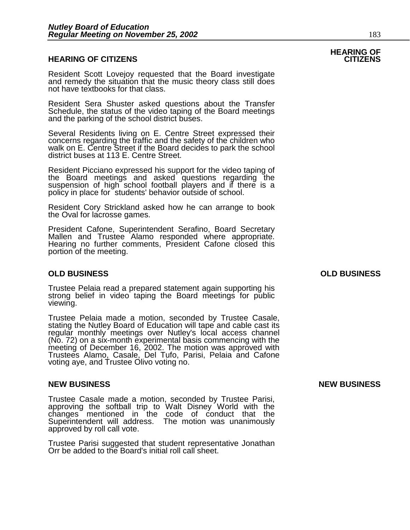#### **HEARING OF CITIZENS CITIZENS**

Resident Scott Lovejoy requested that the Board investigate and remedy the situation that the music theory class still does not have textbooks for that class.

Resident Sera Shuster asked questions about the Transfer Schedule, the status of the video taping of the Board meetings and the parking of the school district buses.

Several Residents living on E. Centre Street expressed their concerns regarding the traffic and the safety of the children who walk on E. Centre Street if the Board decides to park the school district buses at 113 E. Centre Street.

Resident Picciano expressed his support for the video taping of the Board meetings and asked questions regarding the suspension of high school football players and if there is a policy in place for students' behavior outside of school.

Resident Cory Strickland asked how he can arrange to book the Oval for lacrosse games.

President Cafone, Superintendent Serafino, Board Secretary Mallen and Trustee Alamo responded where appropriate. Hearing no further comments, President Cafone closed this portion of the meeting.

#### **OLD BUSINESS OLD BUSINESS**

Trustee Pelaia read a prepared statement again supporting his strong belief in video taping the Board meetings for public viewing.

Trustee Pelaia made a motion, seconded by Trustee Casale, stating the Nutley Board of Education will tape and cable cast its regular monthly meetings over Nutley's local access channel (No. 72) on a six-month experimental basis commencing with the meeting of December 16, 2002. The motion was approved with Trustees Alamo, Casale, Del Tufo, Parisi, Pelaia and Cafone voting aye, and Trustee Olivo voting no.

#### **NEW BUSINESS NEW BUSINESS**

Trustee Casale made a motion, seconded by Trustee Parisi, approving the softball trip to Walt Disney World with the changes mentioned in the code of conduct that the Superintendent will address. The motion was unanimously approved by roll call vote.

Trustee Parisi suggested that student representative Jonathan Orr be added to the Board's initial roll call sheet.

# **HEARING OF**